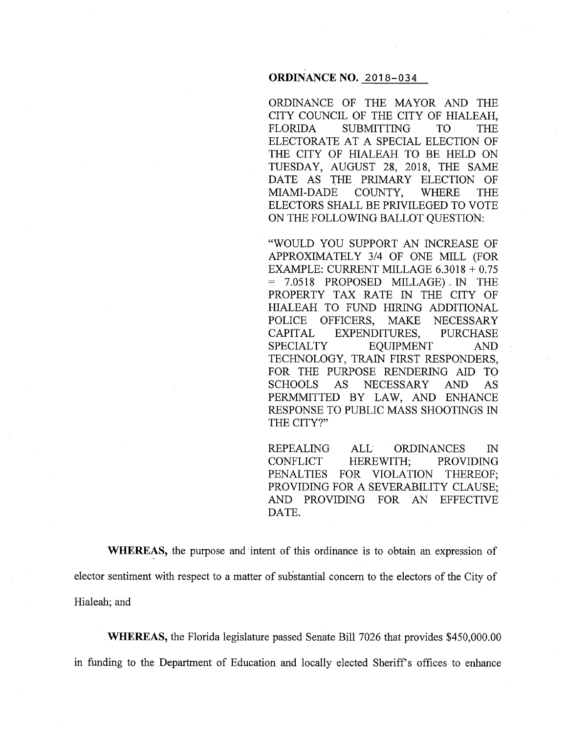# **ORDINANCE NO.** 2018-034

ORDINANCE OF THE MAYOR AND THE CITY COUNCIL OF THE CITY OF HIALEAH, FLORIDA SUBMITTING TO THE ELECTORATE AT A SPECIAL ELECTION OF THE CITY OF HIALEAH TO BE HELD ON TUESDAY, AUGUST 28, 2018, THE SAME DATE AS THE PRIMARY ELECTION OF MIAMI-DADE COUNTY, WHERE THE ELECTORS SHALL BE PRIVILEGED TO VOTE ON THE FOLLOWING BALLOT QUESTION:

"WOULD YOU SUPPORT AN INCREASE OF APPROXIMATELY 3/4 OF ONE MILL (FOR EXAMPLE: CURRENT MILLAGE 6.3018 + 0.75 = 7.0518 PROPOSED MILLAGE), IN THE PROPERTY TAX RATE IN THE CITY OF HIALEAH TO FUND HIRING ADDITIONAL POLICE OFFICERS, MAKE NECESSARY CAPITAL EXPENDITURES, PURCHASE SPECIALTY EQUIPMENT AND TECHNOLOGY, TRAIN FIRST RESPONDERS, FOR THE PURPOSE RENDERING AID TO SCHOOLS AS NECESSARY AND AS PERMMITTED BY LAW, AND ENHANCE RESPONSE TO PUBLIC MASS SHOOTINGS IN THE CITY?"

REPEALING ALL ORDINANCES IN CONFLICT HEREWITH; PROVIDING PENALTIES FOR VIOLATION THEREOF; PROVIDING FOR A SEVERABILITY CLAUSE; AND PROVIDING FOR AN EFFECTIVE DATE.

**WHEREAS,** the purpose and intent of this ordinance is to obtain an expression of elector sentiment with respect to a matter of substantial concern to the electors of the City of Hialeah; and

**WHEREAS,** the Florida legislature passed Senate Bill 7026 that provides \$450,000.00 in funding to the Department of Education and locally elected Sheriffs offices to enhance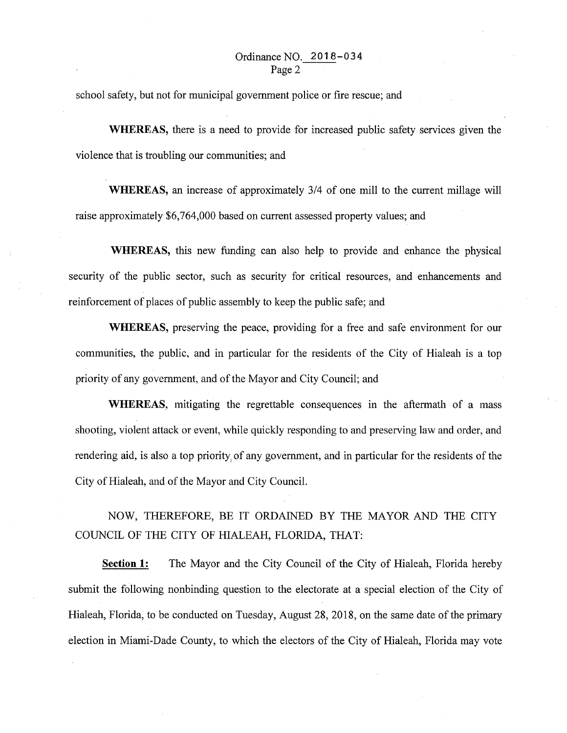school safety, but not for municipal government police or fire rescue; and

**WHEREAS,** there is a need to provide for increased public safety services given the violence that is troubling our communities; and

**WHEREAS,** an increase of approximately 3/4 of one mill to the current millage will raise approximately \$6,764,000 based on current assessed property values; and

**WHEREAS,** this new funding can also help to provide and enhance the physical security of the public sector, such as security for critical resources, and enhancements and reinforcement of places of public assembly to keep the public safe; and

**WHEREAS,** preserving the peace, providing for a free and safe environment for our communities, the public, and in particular for the residents of the City of Hialeah is a top priority of any government, and of the Mayor and City Council; and

**WHEREAS,** mitigating the regrettable consequences in the aftermath of a mass shooting, violent attack or event, while quickly responding to and preserving law and order, and rendering aid, is also a top priority, of any government, and in particular for the residents of the City of Hialeah, and of the Mayor and City Council.

NOW, THEREFORE, BE IT ORDAINED BY THE MAYOR AND THE CITY COUNCIL OF THE CITY OF HIALEAH, FLORIDA, THAT:

**Section 1:** The Mayor and the City Council of the City of Hialeah, Florida hereby submit the following nonbinding question to the electorate at a special election of the City of Hialeah, Florida, to be conducted on Tuesday, August 28, 2018, on the same date of the primary election in Miami-Dade County, to which the electors of the City of Hialeah, Florida may vote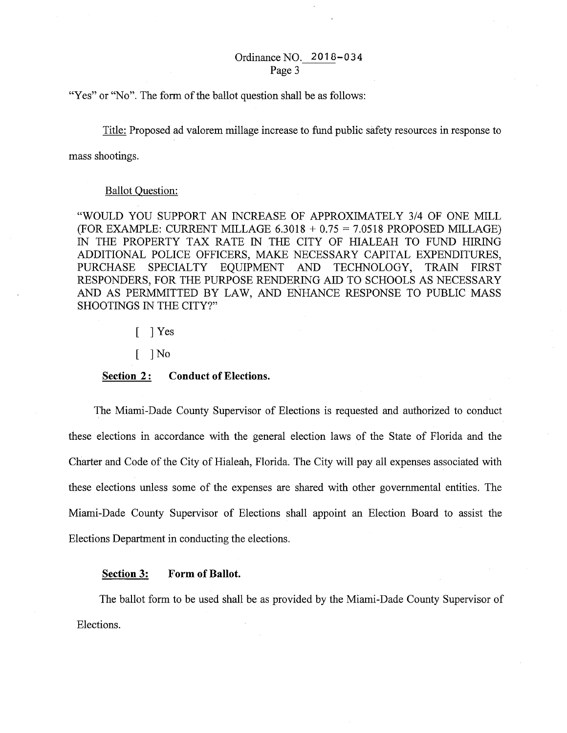# Ordinance NO. 2018-034 Page 3

"Yes" or "No". The form of the ballot question shall be as follows:

Title: Proposed ad valorem millage increase to fund public safety resources in response to

mass shootings.

## Ballot Question:

"WOULD YOU SUPPORT AN INCREASE OF APPROXIMATELY 3/4 OF ONE MILL (FOR EXAMPLE: CURRENT MILLAGE  $6.3018 + 0.75 = 7.0518$  PROPOSED MILLAGE) IN THE PROPERTY TAX RATE IN THE CITY OF HIALEAH TO FUND HIRING ADDITIONAL POLICE OFFICERS, MAKE NECESSARY CAPITAL EXPENDITURES, PURCHASE SPECIALTY EQUIPMENT AND TECHNOLOGY, TRAIN FIRST RESPONDERS, FOR THE PURPOSE RENDERING AID TO SCHOOLS AS NECESSARY AND AS PERMMITTED BY LAW, AND ENHANCE RESPONSE TO PUBLIC MASS SHOOTINGS IN THE CITY?"

> ] Yes ſ

 $\lceil$   $\rceil$ No

#### **Section 2:** Conduct of Elections.

The Miami-Dade County Supervisor of Elections is requested and authorized to conduct these elections in accordance with the general election laws of the State of Florida and the Charter and Code of the City of Hialeah, Florida. The City will pay all expenses associated with these elections unless some of the expenses are shared with other governmental entities. The Miami-Dade County Supervisor of Elections shall appoint an Election Board to assist the Elections Department in conducting the elections.

#### **Section 3: Form of Ballot.**

The ballot form to be used shall be as provided by the Miami-Dade County Supervisor of Elections.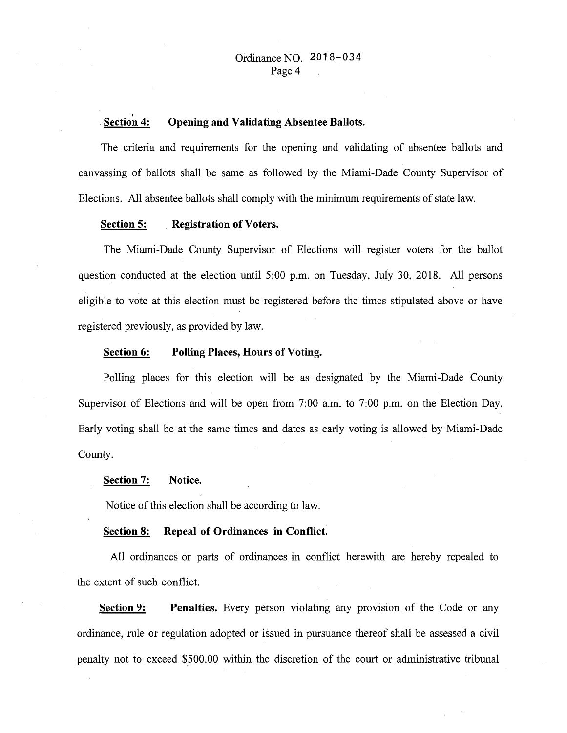#### Section 4: **Opening and Validating Absentee Ballots.**

The criteria and requirements for the opening and validating of absentee ballots and canvassing of ballots shall be same as followed by the Miami-Dade County Supervisor of Elections. All absentee ballots shall comply with the minimum requirements of state law.

#### **Section 5: Registration of Voters.**

The Miami-Dade County Supervisor of Elections will register voters for the ballot question conducted at the election until 5:00 p.m. on Tuesday, July 30, 2018. All persons eligible to vote at this election must be registered before the times stipulated above or have registered previously, as provided by law.

## **Section 6: Polling Places, Hours of Voting.**

Polling places for this election will be as designated by the Miami-Dade County Supervisor of Elections and will be open from 7:00 a.m. to 7:00 p.m. on the Election Day. Early voting shall be at the same times and dates as early voting is allowed by Miami-Dade County.

#### **Section 7: Notice.**

Notice of this election shall be according to law.

## **Section 8: Repeal of Ordinances in Conflict.**

All ordinances or parts of ordinances in conflict herewith are hereby repealed to the extent of such conflict.

**Section 9:** Penalties. Every person violating any provision of the Code or any ordinance, rule or regulation adopted or issued in pursuance thereof shall be assessed a civil penalty not to exceed \$500.00 within the discretion of the court or administrative tribunal